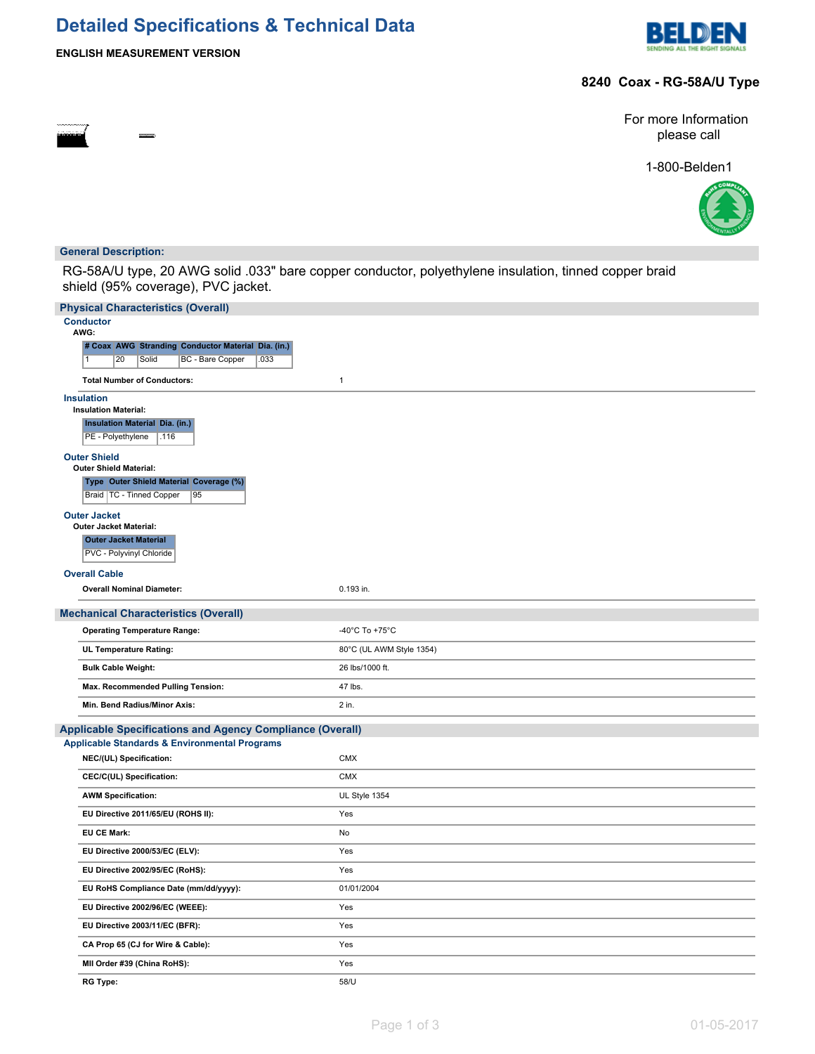# **Detailed Specifications & Technical Data**



## **ENGLISH MEASUREMENT VERSION**

### **8240 Coax - RG-58A/U Type**

For more Information please call

1-800-Belden1



#### **General Description:**

RG-58A/U type, 20 AWG solid .033" bare copper conductor, polyethylene insulation, tinned copper braid shield (95% coverage), PVC jacket.

| <b>Physical Characteristics (Overall)</b>                                   |                          |  |  |  |  |  |  |
|-----------------------------------------------------------------------------|--------------------------|--|--|--|--|--|--|
| <b>Conductor</b><br>AWG:                                                    |                          |  |  |  |  |  |  |
| # Coax AWG Stranding Conductor Material Dia. (in.)                          |                          |  |  |  |  |  |  |
| 20<br>Solid<br>BC - Bare Copper<br>.033<br>1                                |                          |  |  |  |  |  |  |
| <b>Total Number of Conductors:</b>                                          | $\mathbf{1}$             |  |  |  |  |  |  |
| <b>Insulation</b>                                                           |                          |  |  |  |  |  |  |
| <b>Insulation Material:</b>                                                 |                          |  |  |  |  |  |  |
| <b>Insulation Material Dia. (in.)</b><br>PE - Polyethylene<br>.116          |                          |  |  |  |  |  |  |
| <b>Outer Shield</b><br><b>Outer Shield Material:</b>                        |                          |  |  |  |  |  |  |
| Type Outer Shield Material Coverage (%)<br>Braid   TC - Tinned Copper<br>95 |                          |  |  |  |  |  |  |
| <b>Outer Jacket</b>                                                         |                          |  |  |  |  |  |  |
| <b>Outer Jacket Material:</b>                                               |                          |  |  |  |  |  |  |
| <b>Outer Jacket Material</b>                                                |                          |  |  |  |  |  |  |
| PVC - Polyvinyl Chloride                                                    |                          |  |  |  |  |  |  |
| <b>Overall Cable</b>                                                        |                          |  |  |  |  |  |  |
| <b>Overall Nominal Diameter:</b>                                            | 0.193 in.                |  |  |  |  |  |  |
| <b>Mechanical Characteristics (Overall)</b>                                 |                          |  |  |  |  |  |  |
| <b>Operating Temperature Range:</b>                                         | -40°C To +75°C           |  |  |  |  |  |  |
| UL Temperature Rating:                                                      | 80°C (UL AWM Style 1354) |  |  |  |  |  |  |
| <b>Bulk Cable Weight:</b>                                                   | 26 lbs/1000 ft.          |  |  |  |  |  |  |
| Max. Recommended Pulling Tension:                                           | 47 lbs.                  |  |  |  |  |  |  |
| Min. Bend Radius/Minor Axis:                                                | 2 in.                    |  |  |  |  |  |  |
| Applicable Specifications and Agency Compliance (Overall)                   |                          |  |  |  |  |  |  |
| <b>Applicable Standards &amp; Environmental Programs</b>                    |                          |  |  |  |  |  |  |
| NEC/(UL) Specification:                                                     | <b>CMX</b>               |  |  |  |  |  |  |
| CEC/C(UL) Specification:                                                    | <b>CMX</b>               |  |  |  |  |  |  |
| <b>AWM Specification:</b>                                                   | UL Style 1354            |  |  |  |  |  |  |
| EU Directive 2011/65/EU (ROHS II):                                          | Yes                      |  |  |  |  |  |  |
| EU CE Mark:                                                                 | No                       |  |  |  |  |  |  |
| EU Directive 2000/53/EC (ELV):                                              | Yes                      |  |  |  |  |  |  |
| EU Directive 2002/95/EC (RoHS):                                             | Yes                      |  |  |  |  |  |  |
| EU RoHS Compliance Date (mm/dd/yyyy):                                       | 01/01/2004               |  |  |  |  |  |  |
| EU Directive 2002/96/EC (WEEE):                                             | Yes                      |  |  |  |  |  |  |
| EU Directive 2003/11/EC (BFR):                                              | Yes                      |  |  |  |  |  |  |
| CA Prop 65 (CJ for Wire & Cable):                                           | Yes                      |  |  |  |  |  |  |
| MII Order #39 (China RoHS):                                                 | Yes                      |  |  |  |  |  |  |
| <b>RG Type:</b>                                                             | 58/U                     |  |  |  |  |  |  |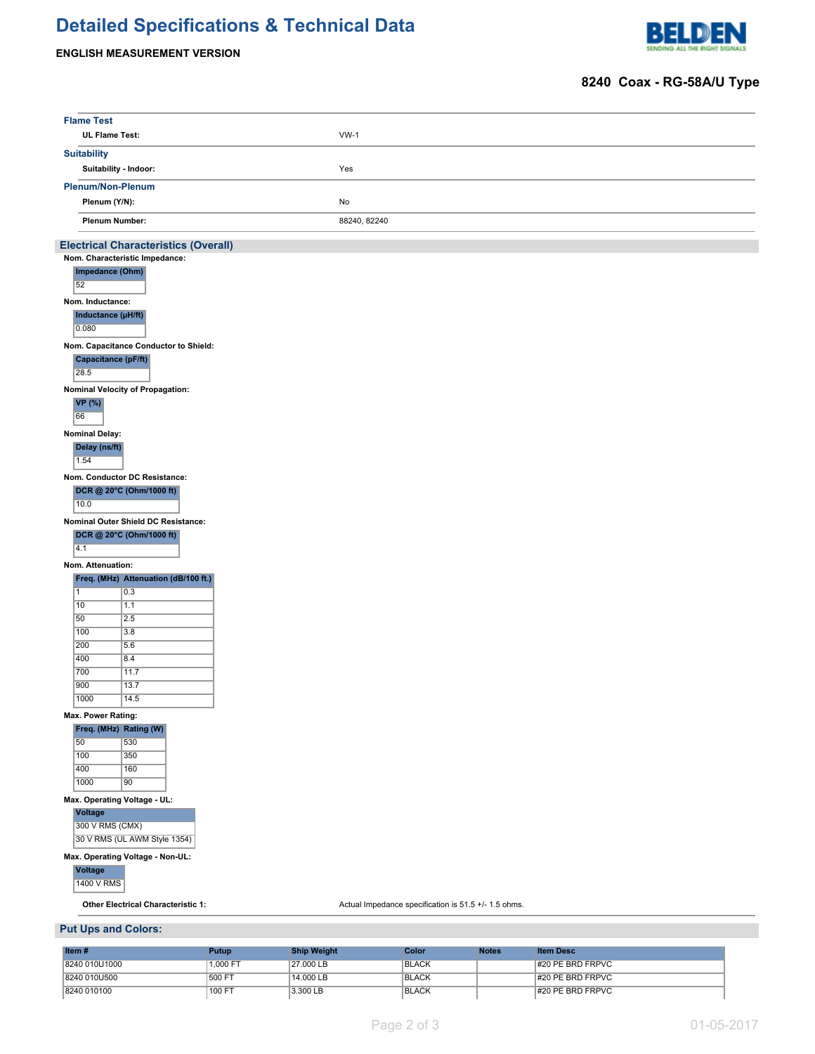# **Detailed Specifications & Technical Data**

## **ENGLISH MEASUREMENT VERSION**



# **8240 Coax - RG-58A/U Type**

| <b>Flame Test</b>            |                                                           |              |                    |                                                      |              |                  |
|------------------------------|-----------------------------------------------------------|--------------|--------------------|------------------------------------------------------|--------------|------------------|
| UL Flame Test:               |                                                           |              | $VW-1$             |                                                      |              |                  |
| <b>Suitability</b>           |                                                           |              |                    |                                                      |              |                  |
| Suitability - Indoor:        |                                                           |              | Yes                |                                                      |              |                  |
| <b>Plenum/Non-Plenum</b>     |                                                           |              |                    |                                                      |              |                  |
| Plenum (Y/N):                |                                                           |              | No                 |                                                      |              |                  |
| <b>Plenum Number:</b>        |                                                           |              | 88240, 82240       |                                                      |              |                  |
|                              |                                                           |              |                    |                                                      |              |                  |
|                              | <b>Electrical Characteristics (Overall)</b>               |              |                    |                                                      |              |                  |
| Impedance (Ohm)              | Nom. Characteristic Impedance:                            |              |                    |                                                      |              |                  |
| 52                           |                                                           |              |                    |                                                      |              |                  |
| Nom. Inductance:             |                                                           |              |                    |                                                      |              |                  |
| Inductance (µH/ft)           |                                                           |              |                    |                                                      |              |                  |
| 0.080                        |                                                           |              |                    |                                                      |              |                  |
|                              | Nom. Capacitance Conductor to Shield:                     |              |                    |                                                      |              |                  |
| <b>Capacitance (pF/ft)</b>   |                                                           |              |                    |                                                      |              |                  |
| 28.5                         |                                                           |              |                    |                                                      |              |                  |
|                              | Nominal Velocity of Propagation:                          |              |                    |                                                      |              |                  |
| <b>VP</b> (%)                |                                                           |              |                    |                                                      |              |                  |
| 66                           |                                                           |              |                    |                                                      |              |                  |
| <b>Nominal Delay:</b>        |                                                           |              |                    |                                                      |              |                  |
| Delay (ns/ft)<br>1.54        |                                                           |              |                    |                                                      |              |                  |
|                              |                                                           |              |                    |                                                      |              |                  |
|                              | Nom. Conductor DC Resistance:<br>DCR @ 20°C (Ohm/1000 ft) |              |                    |                                                      |              |                  |
| 10.0                         |                                                           |              |                    |                                                      |              |                  |
|                              | Nominal Outer Shield DC Resistance:                       |              |                    |                                                      |              |                  |
|                              | DCR @ 20°C (Ohm/1000 ft)                                  |              |                    |                                                      |              |                  |
| 4.1                          |                                                           |              |                    |                                                      |              |                  |
| Nom. Attenuation:            |                                                           |              |                    |                                                      |              |                  |
|                              | Freq. (MHz) Attenuation (dB/100 ft.)                      |              |                    |                                                      |              |                  |
| $\overline{1}$               | $\overline{0.3}$                                          |              |                    |                                                      |              |                  |
| 10                           | 1.1                                                       |              |                    |                                                      |              |                  |
| 50<br>100                    | 2.5<br>3.8                                                |              |                    |                                                      |              |                  |
| 200                          | 5.6                                                       |              |                    |                                                      |              |                  |
| 400                          | 8.4                                                       |              |                    |                                                      |              |                  |
| 700                          | 11.7                                                      |              |                    |                                                      |              |                  |
| 900                          | 13.7                                                      |              |                    |                                                      |              |                  |
| 1000                         | 14.5                                                      |              |                    |                                                      |              |                  |
| Max. Power Rating:           |                                                           |              |                    |                                                      |              |                  |
| Freq. (MHz) Rating (W)       |                                                           |              |                    |                                                      |              |                  |
| 50<br>100                    | 530<br>350                                                |              |                    |                                                      |              |                  |
| 400                          | 160                                                       |              |                    |                                                      |              |                  |
| 1000                         | 90                                                        |              |                    |                                                      |              |                  |
| Max. Operating Voltage - UL: |                                                           |              |                    |                                                      |              |                  |
| <b>Voltage</b>               |                                                           |              |                    |                                                      |              |                  |
| 300 V RMS (CMX)              |                                                           |              |                    |                                                      |              |                  |
|                              | 30 V RMS (UL AWM Style 1354)                              |              |                    |                                                      |              |                  |
|                              | Max. Operating Voltage - Non-UL:                          |              |                    |                                                      |              |                  |
| Voltage                      |                                                           |              |                    |                                                      |              |                  |
| <b>1400 V RMS</b>            |                                                           |              |                    |                                                      |              |                  |
|                              | <b>Other Electrical Characteristic 1:</b>                 |              |                    | Actual Impedance specification is 51.5 +/- 1.5 ohms. |              |                  |
|                              |                                                           |              |                    |                                                      |              |                  |
| <b>Put Ups and Colors:</b>   |                                                           |              |                    |                                                      |              |                  |
| Item#                        |                                                           | <b>Putup</b> | <b>Ship Weight</b> | Color                                                | <b>Notes</b> | <b>Item Desc</b> |
| 8240 010U1000                |                                                           | 1.000 FT     | 27,000 LB          | <b>BLACK</b>                                         |              | #20 PE BRD FRPVC |

8240 010U500 500 FT 14.000 LB BLACK BLACK #20 PE BRD FRPVC 8240 010100 100 FT 3.300 LB BLACK #20 PE BRD FRPVC